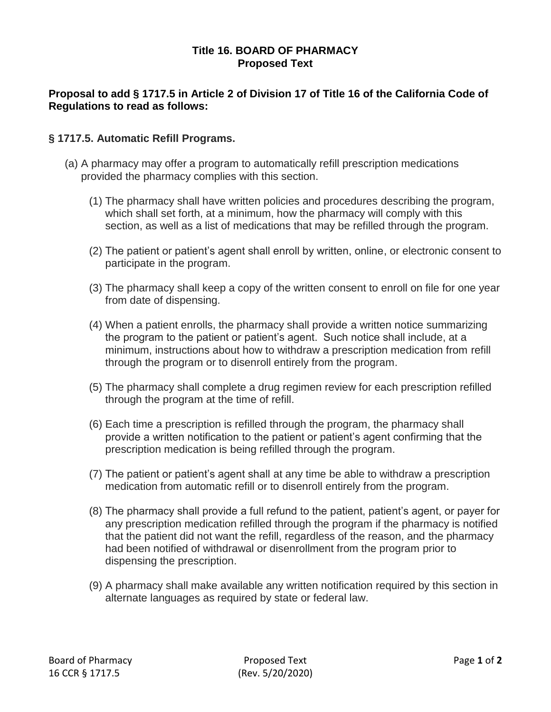## **Title 16. BOARD OF PHARMACY Proposed Text**

## **Proposal to add § 1717.5 in Article 2 of Division 17 of Title 16 of the California Code of Regulations to read as follows:**

## **§ 1717.5. Automatic Refill Programs.**

- (a) A pharmacy may offer a program to automatically refill prescription medications provided the pharmacy complies with this section.
	- (1) The pharmacy shall have written policies and procedures describing the program, which shall set forth, at a minimum, how the pharmacy will comply with this section, as well as a list of medications that may be refilled through the program.
	- (2) The patient or patient's agent shall enroll by written, online, or electronic consent to participate in the program.
	- (3) The pharmacy shall keep a copy of the written consent to enroll on file for one year from date of dispensing.
	- (4) When a patient enrolls, the pharmacy shall provide a written notice summarizing the program to the patient or patient's agent. Such notice shall include, at a minimum, instructions about how to withdraw a prescription medication from refill through the program or to disenroll entirely from the program.
	- (5) The pharmacy shall complete a drug regimen review for each prescription refilled through the program at the time of refill.
	- (6) Each time a prescription is refilled through the program, the pharmacy shall provide a written notification to the patient or patient's agent confirming that the prescription medication is being refilled through the program.
	- (7) The patient or patient's agent shall at any time be able to withdraw a prescription medication from automatic refill or to disenroll entirely from the program.
	- (8) The pharmacy shall provide a full refund to the patient, patient's agent, or payer for any prescription medication refilled through the program if the pharmacy is notified that the patient did not want the refill, regardless of the reason, and the pharmacy had been notified of withdrawal or disenrollment from the program prior to dispensing the prescription.
	- (9) A pharmacy shall make available any written notification required by this section in alternate languages as required by state or federal law.